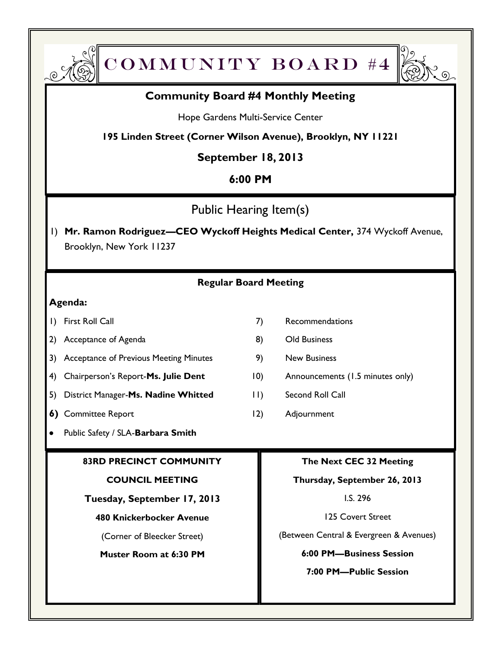



# **Community Board #4 Monthly Meeting**

Hope Gardens Multi-Service Center

**195 Linden Street (Corner Wilson Avenue), Brooklyn, NY 11221**

# **September 18, 2013**

# **6:00 PM**

Public Hearing Item(s)

1) **Mr. Ramon Rodriguez—CEO Wyckoff Heights Medical Center,** 374 Wyckoff Avenue, Brooklyn, New York 11237

## **Regular Board Meeting**

### **Agenda:**

- 
- 2) Acceptance of Agenda 8) Old Business
- 3) Acceptance of Previous Meeting Minutes 9) New Business
- 4) Chairperson's Report-Ms. Julie Dent 10) Announcements (1.5 minutes only)
- 5) District Manager-**Ms. Nadine Whitted** 11) Second Roll Call
- **6)** Committee Report 12) Adjournment
- Public Safety / SLA-**Barbara Smith**

### **83RD PRECINCT COMMUNITY**

#### **COUNCIL MEETING**

**Tuesday, September 17, 2013**

#### **480 Knickerbocker Avenue**

(Corner of Bleecker Street)

**Muster Room at 6:30 PM**

- 1) First Roll Call **7** Recommendations
	-
	-
	-
	-
	-

### **The Next CEC 32 Meeting**

#### **Thursday, September 26, 2013**

I.S. 296

125 Covert Street

(Between Central & Evergreen & Avenues)

#### **6:00 PM—Business Session**

**7:00 PM—Public Session**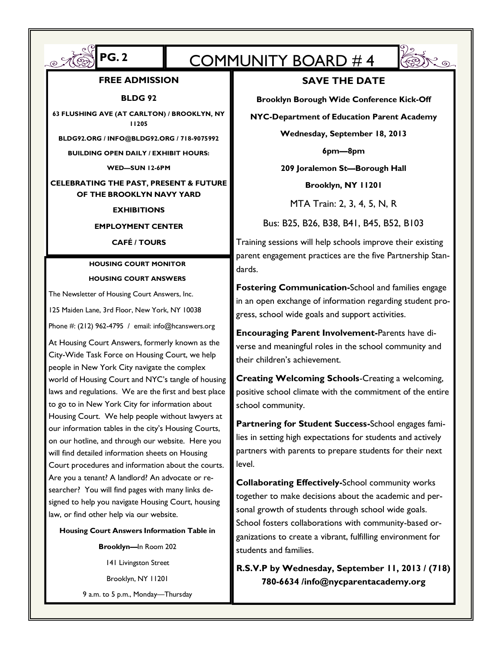# $\int \text{PS.2}$  COMMUNITY BOARD #4



#### **FREE ADMISSION**

**BLDG 92**

**63 FLUSHING AVE (AT CARLTON) / BROOKLYN, NY 11205**

**BLDG92.ORG / INFO@BLDG92.ORG / 718-9075992**

**BUILDING OPEN DAILY / EXHIBIT HOURS:** 

**WED—SUN 12-6PM**

#### **CELEBRATING THE PAST, PRESENT & FUTURE OF THE BROOKLYN NAVY YARD**

#### **EXHIBITIONS**

#### **EMPLOYMENT CENTER**

#### **CAFÉ / TOURS**

#### **HOUSING COURT MONITOR HOUSING COURT ANSWERS**

The Newsletter of Housing Court Answers, Inc. 125 Maiden Lane, 3rd Floor, New York, NY 10038

Phone #: (212) 962-4795 / email: info@hcanswers.org

At Housing Court Answers, formerly known as the City-Wide Task Force on Housing Court, we help people in New York City navigate the complex world of Housing Court and NYC's tangle of housing laws and regulations. We are the first and best place to go to in New York City for information about Housing Court. We help people without lawyers at our information tables in the city's Housing Courts, on our hotline, and through our website. Here you will find detailed information sheets on Housing Court procedures and information about the courts. Are you a tenant? A landlord? An advocate or researcher? You will find pages with many links designed to help you navigate Housing Court, housing law, or find other help via our website.

**Housing Court Answers Information Table in** 

**Brooklyn—**In Room 202 141 Livingston Street Brooklyn, NY 11201 9 a.m. to 5 p.m., Monday—Thursday **SAVE THE DATE**

**Brooklyn Borough Wide Conference Kick-Off**

**NYC-Department of Education Parent Academy**

**Wednesday, September 18, 2013**

**6pm—8pm**

**209 Joralemon St—Borough Hall** 

**Brooklyn, NY 11201**

MTA Train: 2, 3, 4, 5, N, R

Bus: B25, B26, B38, B41, B45, B52, B103

Training sessions will help schools improve their existing parent engagement practices are the five Partnership Standards.

**Fostering Communication-**School and families engage in an open exchange of information regarding student progress, school wide goals and support activities.

**Encouraging Parent Involvement-**Parents have diverse and meaningful roles in the school community and their children's achievement.

**Creating Welcoming Schools**-Creating a welcoming, positive school climate with the commitment of the entire school community.

**Partnering for Student Success-**School engages families in setting high expectations for students and actively partners with parents to prepare students for their next level.

**Collaborating Effectively-**School community works together to make decisions about the academic and personal growth of students through school wide goals. School fosters collaborations with community-based organizations to create a vibrant, fulfilling environment for students and families.

**R.S.V.P by Wednesday, September 11, 2013 / (718) 780-6634 /info@nycparentacademy.org**